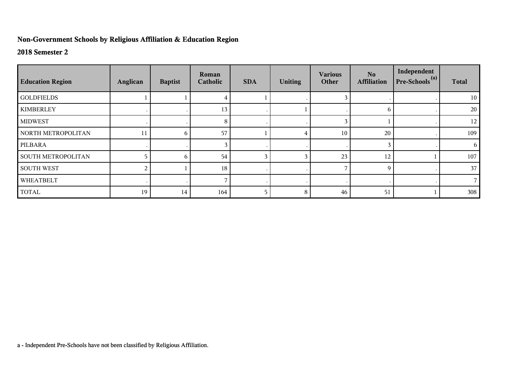## **Non-Government Schools by Religious Affiliation & Education Region**

## **2018 Semester 2**

| <b>Education Region</b> | Anglican | <b>Baptist</b> | Roman<br>Catholic | <b>SDA</b> | <b>Uniting</b> | <b>Various</b><br>Other | N <sub>o</sub><br><b>Affiliation</b> | Independent<br>Pre-Schools <sup>(a)</sup> | <b>Total</b> |
|-------------------------|----------|----------------|-------------------|------------|----------------|-------------------------|--------------------------------------|-------------------------------------------|--------------|
| <b>GOLDFIELDS</b>       |          |                |                   |            |                |                         |                                      |                                           | 10           |
| <b>KIMBERLEY</b>        |          |                | 13                |            |                |                         | 6                                    |                                           | 20           |
| <b>MIDWEST</b>          |          |                | 8                 |            |                | $\mathbf{3}$            |                                      |                                           | 12           |
| NORTH METROPOLITAN      | 11       | 6              | 57                |            |                | 10                      | 20                                   |                                           | 109          |
| PILBARA                 |          |                |                   |            |                |                         | 3                                    |                                           | 6            |
| SOUTH METROPOLITAN      |          | 6              | 54                | 3          |                | 23                      | 12                                   |                                           | 107          |
| <b>SOUTH WEST</b>       |          |                | 18                |            |                |                         | 9                                    |                                           | 37           |
| WHEATBELT               |          |                |                   |            |                |                         |                                      |                                           |              |
| <b>TOTAL</b>            | 19       | 14             | 164               | 5          | 8              | 46                      | 51                                   |                                           | 308          |